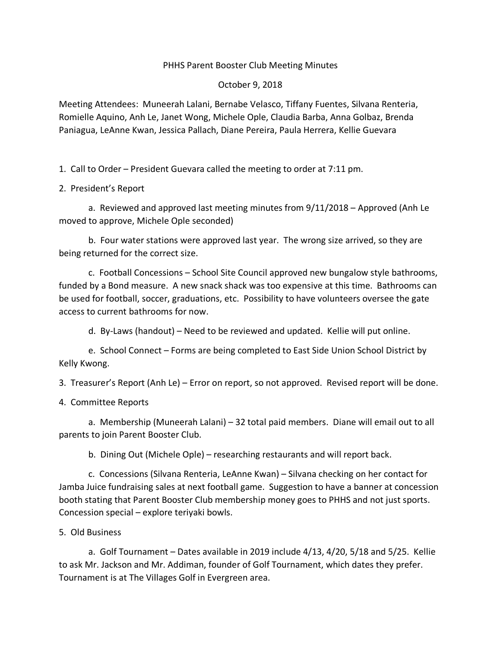### PHHS Parent Booster Club Meeting Minutes

#### October 9, 2018

Meeting Attendees: Muneerah Lalani, Bernabe Velasco, Tiffany Fuentes, Silvana Renteria, Romielle Aquino, Anh Le, Janet Wong, Michele Ople, Claudia Barba, Anna Golbaz, Brenda Paniagua, LeAnne Kwan, Jessica Pallach, Diane Pereira, Paula Herrera, Kellie Guevara

1. Call to Order – President Guevara called the meeting to order at 7:11 pm.

# 2. President's Report

a. Reviewed and approved last meeting minutes from 9/11/2018 – Approved (Anh Le moved to approve, Michele Ople seconded)

b. Four water stations were approved last year. The wrong size arrived, so they are being returned for the correct size.

c. Football Concessions – School Site Council approved new bungalow style bathrooms, funded by a Bond measure. A new snack shack was too expensive at this time. Bathrooms can be used for football, soccer, graduations, etc. Possibility to have volunteers oversee the gate access to current bathrooms for now.

d. By-Laws (handout) – Need to be reviewed and updated. Kellie will put online.

e. School Connect – Forms are being completed to East Side Union School District by Kelly Kwong.

3. Treasurer's Report (Anh Le) – Error on report, so not approved. Revised report will be done.

4. Committee Reports

a. Membership (Muneerah Lalani) – 32 total paid members. Diane will email out to all parents to join Parent Booster Club.

b. Dining Out (Michele Ople) – researching restaurants and will report back.

c. Concessions (Silvana Renteria, LeAnne Kwan) – Silvana checking on her contact for Jamba Juice fundraising sales at next football game. Suggestion to have a banner at concession booth stating that Parent Booster Club membership money goes to PHHS and not just sports. Concession special – explore teriyaki bowls.

#### 5. Old Business

a. Golf Tournament – Dates available in 2019 include 4/13, 4/20, 5/18 and 5/25. Kellie to ask Mr. Jackson and Mr. Addiman, founder of Golf Tournament, which dates they prefer. Tournament is at The Villages Golf in Evergreen area.